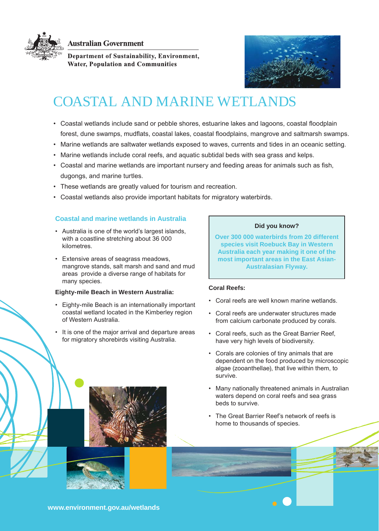

**Australian Government** 

Department of Sustainability, Environment, **Water, Population and Communities** 



# COASTAL AND MARINE WETLANDS

- • Coastal wetlands include sand or pebble shores, estuarine lakes and lagoons, coastal floodplain forest, dune swamps, mudflats, coastal lakes, coastal floodplains, mangrove and saltmarsh swamps.
- • Marine wetlands are saltwater wetlands exposed to waves, currents and tides in an oceanic setting.
- • Marine wetlands include coral reefs, and aquatic subtidal beds with sea grass and kelps.
- • Coastal and marine wetlands are important nursery and feeding areas for animals such as fish, dugongs, and marine turtles.
- These wetlands are greatly valued for tourism and recreation.
- • Coastal wetlands also provide important habitats for migratory waterbirds.

# **Coastal and marine wetlands in Australia**

- • Australia is one of the world's largest islands, with a coastline stretching about 36 000 kilometres.
- • Extensive areas of seagrass meadows, mangrove stands, salt marsh and sand and mud areas provide a diverse range of habitats for many species.

## **Eighty-mile Beach in Western Australia:**

- • Eighty-mile Beach is an internationally important coastal wetland located in the Kimberley region of Western Australia.
- It is one of the major arrival and departure areas for migratory shorebirds visiting Australia.

#### **Did you know?**

**Over 300 000 waterbirds from 20 different species visit Roebuck Bay in Western Australia each year making it one of the most important areas in the East Asian-Australasian Flyway.**

## **Coral Reefs:**

- • Coral reefs are well known marine wetlands.
- • Coral reefs are underwater structures made from calcium carbonate produced by corals.
- • Coral reefs, such as the Great Barrier Reef, have very high levels of biodiversity.
- • Corals are colonies of tiny animals that are dependent on the food produced by microscopic algae (zooanthellae), that live within them, to survive.
- Many nationally threatened animals in Australian waters depend on coral reefs and sea grass beds to survive.
- • The Great Barrier Reef's network of reefs is home to thousands of species.